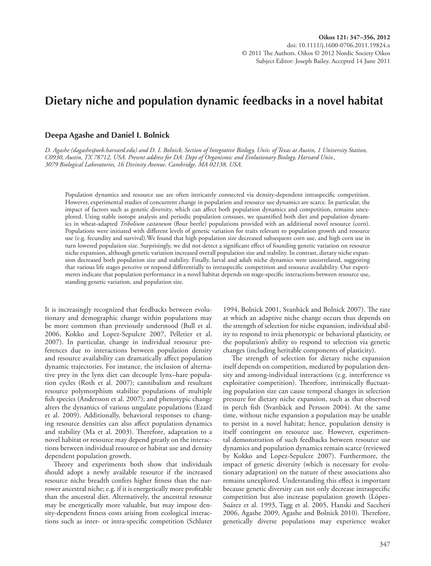# **Dietary niche and population dynamic feedbacks in a novel habitat**

## **Deepa Agashe and Daniel I. Bolnick**

 *D. Agashe (dagashe@oeb.harvard.edu) and D. I. Bolnick, Section of Integrative Biology, Univ. of Texas at Austin, 1 University Station, C0930, Austin, TX 78712, USA. Present address for DA: Dept of Organismic and Evolutionary Biology, Harvard Univ., 3079 Biological Laboratories, 16 Divinity Avenue, Cambridge, MA 02138, USA.* 

Population dynamics and resource use are often intricately connected via density-dependent intraspecific competition. However, experimental studies of concurrent change in population and resource use dynamics are scarce. In particular, the impact of factors such as genetic diversity, which can affect both population dynamics and competition, remains unexplored. Using stable isotope analysis and periodic population censuses, we quantified both diet and population dynamics in wheat-adapted *Tribolium castaneum* (flour beetle) populations provided with an additional novel resource (corn). Populations were initiated with different levels of genetic variation for traits relevant to population growth and resource use (e.g. fecundity and survival).We found that high population size decreased subsequent corn use, and high corn use in turn lowered population size. Surprisingly, we did not detect a significant effect of founding genetic variation on resource niche expansion, although genetic variation increased overall population size and stability. In contrast, dietary niche expansion decreased both population size and stability. Finally, larval and adult niche dynamics were uncorrelated, suggesting that various life stages perceive or respond differentially to intraspecific competition and resource availability. Our experiments indicate that population performance in a novel habitat depends on stage-specific interactions between resource use, standing genetic variation, and population size.

 It is increasingly recognized that feedbacks between evolutionary and demographic change within populations may be more common than previously understood (Bull et al. 2006, Kokko and Lopez-Sepulcre 2007, Pelletier et al. 2007). In particular, change in individual resource preferences due to interactions between population density and resource availability can dramatically affect population dynamic trajectories. For instance, the inclusion of alternative prey in the lynx diet can decouple lynx-hare population cycles (Roth et al. 2007); cannibalism and resultant resource polymorphism stabilize populations of multiple fish species (Andersson et al. 2007); and phenotypic change alters the dynamics of various ungulate populations (Ezard et al. 2009). Additionally, behavioral responses to changing resource densities can also affect population dynamics and stability (Ma et al. 2003). Therefore, adaptation to a novel habitat or resource may depend greatly on the interactions between individual resource or habitat use and density dependent population growth.

Theory and experiments both show that individuals should adopt a newly available resource if the increased resource niche breadth confers higher fitness than the narrower ancestral niche; e.g. if it is energetically more profitable than the ancestral diet. Alternatively, the ancestral resource may be energetically more valuable, but may impose density-dependent fitness costs arising from ecological interactions such as inter- or intra-specific competition (Schluter 1994, Bolnick 2001, Svanbäck and Bolnick 2007). The rate at which an adaptive niche change occurs thus depends on the strength of selection for niche expansion, individual ability to respond to itvia phenotypic or behavioral plasticity, or the population's ability to respond to selection via genetic changes (including heritable components of plasticity).

The strength of selection for dietary niche expansion itself depends on competition, mediated by population density and among-individual interactions (e.g. interference vs exploitative competition). Therefore, intrinsically fluctuating population size can cause temporal changes in selection pressure for dietary niche expansion, such as that observed in perch fish (Svanbäck and Persson 2004). At the same time, without niche expansion a population may be unable to persist in a novel habitat; hence, population density is itself contingent on resource use. However, experimental demonstration of such feedbacks between resource use dynamics and population dynamics remain scarce (reviewed by Kokko and Lopez-Sepulcre 2007). Furthermore, the impact of genetic diversity (which is necessary for evolutionary adaptation) on the nature of these associations also remains unexplored. Understanding this effect is important because genetic diversity can not only decrease intraspecific competition but also increase population growth (López-Suárez et al. 1993, Tagg et al. 2005, Hanski and Saccheri 2006, Agashe 2009, Agashe and Bolnick 2010). Therefore, genetically diverse populations may experience weaker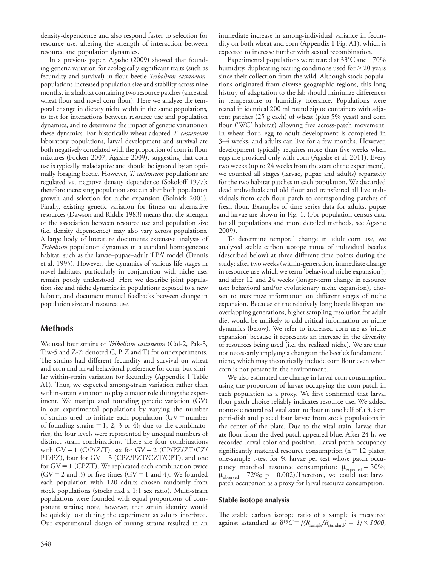density-dependence and also respond faster to selection for resource use, altering the strength of interaction between resource and population dynamics.

 In a previous paper, Agashe (2009) showed that founding genetic variation for ecologically significant traits (such as fecundity and survival) in flour beetle *Tribolium castaneum* populations increased population size and stability across nine months, in a habitat containing two resource patches (ancestral wheat flour and novel corn flour). Here we analyze the temporal change in dietary niche width in the same populations, to test for interactions between resource use and population dynamics, and to determine the impact of genetic variationon these dynamics. For historically wheat-adapted *T. castaneum* laboratory populations, larval development and survival are both negatively correlated with the proportion of corn in flour mixtures (Focken 2007, Agashe 2009), suggesting that corn use is typically maladaptive and should be ignored by an optimally foraging beetle. However, *T. castaneum* populations are regulated via negative density dependence (Sokoloff 1977); therefore increasing population size can alter both population growth and selection for niche expansion (Bolnick 2001). Finally, existing genetic variation for fitness on alternative resources (Dawson and Riddle 1983) means that the strength of the association between resource use and population size (i.e. density dependence) may also vary across populations. A large body of literature documents extensive analysis of *Tribolium* population dynamics in a standard homogeneous habitat, such as the larvae-pupae-adult 'LPA' model (Dennis et al. 1995). However, the dynamics of various life stages in novel habitats, particularly in conjunction with niche use, remain poorly understood. Here we describe joint population size and niche dynamics in populations exposed to a new habitat, and document mutual feedbacks between change in population size and resource use.

## **Methods**

 We used four strains of *Tribolium castaneum* (Col-2, Pak-3, Tiw-5 and Z-7; denoted C, P, Z and T) for our experiments. The strains had different fecundity and survival on wheat and corn and larval behavioral preference for corn, but similar within-strain variation for fecundity (Appendix 1 Table A1). Thus, we expected among-strain variation rather than within-strain variation to play a major role during the experiment. We manipulated founding genetic variation (GV) in our experimental populations by varying the number of strains used to initiate each population  $(GV = number)$ of founding strains  $= 1, 2, 3$  or 4); due to the combinatorics, the four levels were represented by unequal numbers of distinct strain combinations. There are four combinations with  $GV = 1$  (C/P/Z/T), six for  $GV = 2$  (CP/PZ/ZT/CZ/ PT/PZ), four for GV = 3 (CPZ/PZT/CZT/CPT), and one for GV = 1 (CPZT). We replicated each combination twice  $(GV = 2$  and 3) or five times  $(GV = 1$  and 4). We founded each population with 120 adults chosen randomly from stock populations (stocks had a 1:1 sex ratio). Multi-strain populations were founded with equal proportions of component strains; note, however, that strain identity would be quickly lost during the experiment as adults interbred. Our experimental design of mixing strains resulted in an

immediate increase in among-individual variance in fecundity on both wheat and corn (Appendix 1 Fig. A1), which is expected to increase further with sexual recombination.

 Experimental populations were reared at 33 ° C and ∼ 70% humidity, duplicating rearing conditions used for  $>$  20 years since their collection from the wild. Although stock populations originated from diverse geographic regions, this long history of adaptation to the lab should minimize differences in temperature or humidity tolerance. Populations were reared in identical 200 ml round ziploc containers with adjacent patches (25 g each) of wheat (plus 5% yeast) and corn flour ('WC' habitat) allowing free across-patch movement. In wheat flour, egg to adult development is completed in 3-4 weeks, and adults can live for a few months. However, development typically requires more than five weeks when eggs are provided only with corn (Agashe et al. 2011). Every two weeks (up to 24 weeks from the start of the experiment), we counted all stages (larvae, pupae and adults) separately for the two habitat patches in each population. We discarded dead individuals and old flour and transferred all live individuals from each flour patch to corresponding patches of fresh flour. Examples of time series data for adults, pupae and larvae are shown in Fig. 1. (For population census data for all populations and more detailed methods, see Agashe 2009).

 To determine temporal change in adult corn use, we analyzed stable carbon isotope ratios of individual beetles (described below) at three different time points during the study: after two weeks (within-generation, immediate change in resource use which we term 'behavioral niche expansion'), and after 12 and 24 weeks (longer-term change in resource use: behavioral and/or evolutionary niche expansion), chosen to maximize information on different stages of niche expansion. Because of the relatively long beetle lifespan and overlapping generations, higher sampling resolution for adult diet would be unlikely to add critical information on niche dynamics (below). We refer to increased corn use as 'niche expansion' because it represents an increase in the diversity of resources being used (i.e. the realized niche). We are thus not necessarily implying a change in the beetle's fundamental niche, which may theoretically include corn flour even when corn is not present in the environment.

 We also estimated the change in larval corn consumption using the proportion of larvae occupying the corn patch in each population as a proxy. We first confirmed that larval flour patch choice reliably indicates resource use. We added nontoxic neutral red vital stain to flour in one half of a 3.5 cm petri-dish and placed four larvae from stock populations in the center of the plate. Due to the vital stain, larvae that ate flour from the dyed patch appeared blue. After 24 h, we recorded larval color and position. Larval patch occupancy significantly matched resource consumption  $(n = 12$  plates; one-sample t-test for % larvae per test whose patch occupancy matched resource consumption:  $\mu_{expected} = 50\%;$  $\mu_{\text{observed}} = 72\%; p = 0.002)$ . Therefore, we could use larval patch occupation as a proxy for larval resource consumption.

#### **Stable isotope analysis**

The stable carbon isotope ratio of a sample is measured against astandard as  $\delta^{13}C = [(R_{\text{sample}}/R_{\text{standard}}) - 1] \times 1000$ ,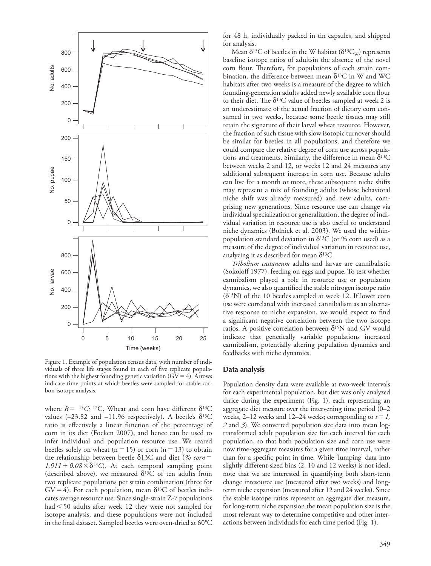

 Figure 1. Example of population census data, with number of individuals of three life stages found in each of five replicate populations with the highest founding genetic variation  $(GV = 4)$ . Arrows indicate time points at which beetles were sampled for stable carbon isotope analysis.

where  $R =$  <sup>13</sup>C: <sup>12</sup>C. Wheat and corn have different  $\delta^{13}$ C values ( $-23.82$  and  $-11.96$  respectively). A beetle's  $\delta^{13}C$ ratio is effectively a linear function of the percentage of corn in its diet (Focken 2007), and hence can be used to infer individual and population resource use. We reared beetles solely on wheat  $(n = 15)$  or corn  $(n = 13)$  to obtain the relationship between beetle δ13C and diet (% corn =  $1.911 + 0.08 \times \delta^{13}$ C). At each temporal sampling point (described above), we measured  $\delta^{13}$ C of ten adults from two replicate populations per strain combination (three for  $GV = 4$ ). For each population, mean  $\delta^{13}C$  of beetles indicates average resource use. Since single-strain Z-7 populations had  $\leq$  50 adults after week 12 they were not sampled for isotope analysis, and these populations were not included in the final dataset. Sampled beetles were oven-dried at 60°C

for 48 h, individually packed in tin capsules, and shipped for analysis.

Mean  $\delta^{13}$ C of beetles in the W habitat ( $\delta^{13}C_{\rm w}$ ) represents baseline isotope ratios of adultsin the absence of the novel corn flour. Therefore, for populations of each strain combination, the difference between mean  $\delta^{13}$ C in W and WC habitats after two weeks is a measure of the degree to which founding-generation adults added newly available corn flour to their diet. The  $\delta^{13}C$  value of beetles sampled at week 2 is an underestimate of the actual fraction of dietary corn consumed in two weeks, because some beetle tissues may still retain the signature of their larval wheat resource. However, the fraction of such tissue with slow isotopic turnover should be similar for beetles in all populations, and therefore we could compare the relative degree of corn use across populations and treatments. Similarly, the difference in mean  $\delta^{13}C$ between weeks 2 and 12, or weeks 12 and 24 measures any additional subsequent increase in corn use. Because adults can live for a month or more, these subsequent niche shifts may represent a mix of founding adults (whose behavioral niche shift was already measured) and new adults, comprising new generations. Since resource use can change via individual specialization or generalization, the degree of individual variation in resource use is also useful to understand niche dynamics (Bolnick et al. 2003). We used the withinpopulation standard deviation in  $\delta^{13}$ C (or % corn used) as a measure of the degree of individual variation in resource use, analyzing it as described for mean  $\delta^{13}C$ .

*Tribolium castaneum* adults and larvae are cannibalistic (Sokoloff 1977), feeding on eggs and pupae. To test whether cannibalism played a role in resource use or population dynamics, we also quantified the stable nitrogen isotope ratio  $(\delta^{15}N)$  of the 10 beetles sampled at week 12. If lower corn use were correlated with increased cannibalism as an alternative response to niche expansion, we would expect to find a significant negative correlation between the two isotope ratios. A positive correlation between  $\delta^{15}N$  and GV would indicate that genetically variable populations increased cannibalism, potentially altering population dynamics and feedbacks with niche dynamics.

#### **Data analysis**

 Population density data were available at two-week intervals for each experimental population, but diet was only analyzed thrice during the experiment (Fig. 1), each representing an aggregate diet measure over the intervening time period  $(0-2)$ weeks, 2–12 weeks and 12–24 weeks; corresponding to  $t = 1$ , *2* and *3* ). We converted population size data into mean logtransformed adult population size for each interval for each population, so that both population size and corn use were now time-aggregate measures for a given time interval, rather than for a specific point in time. While 'lumping' data into slightly different-sized bins (2, 10 and 12 weeks) is not ideal, note that we are interested in quantifying both short-term change inresource use (measured after two weeks) and longterm niche expansion (measured after 12 and 24 weeks). Since the stable isotope ratios represent an aggregate diet measure, for long-term niche expansion the mean population size is the most relevant way to determine competitive and other interactions between individuals for each time period (Fig. 1).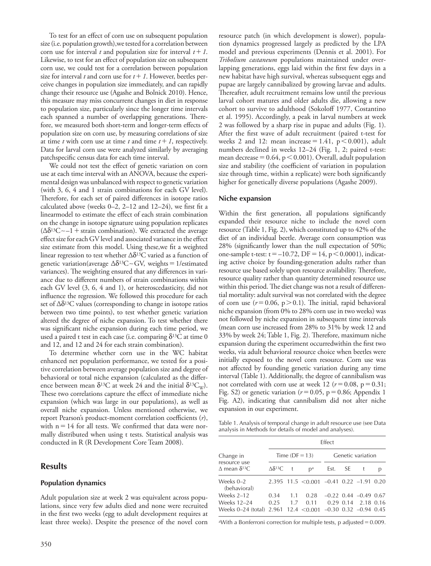To test for an effect of corn use on subsequent population size (i.e. population growth),we tested for a correlation between corn use for interval *t* and population size for interval  $t + 1$ . Likewise, to test for an effect of population size on subsequent corn use, we could test for a correlation between population size for interval *t* and corn use for  $t + 1$ . However, beetles perceive changes in population size immediately, and can rapidly change their resource use (Agashe and Bolnick 2010). Hence, this measure may miss concurrent changes in diet in response to population size, particularly since the longer time intervals each spanned a number of overlapping generations. Therefore, we measured both short-term and longer-term effects of population size on corn use, by measuring correlations of size at time *t* with corn use at time *t* and time  $t + 1$ , respectively. Data for larval corn use were analyzed similarly by averaging patchspecific census data for each time interval.

We could not test the effect of genetic variation on corn use at each time interval with an ANOVA, because the experimental design was unbalanced with respect to genetic variation (with 3, 6, 4 and 1 strain combinations for each GV level). Therefore, for each set of paired differences in isotope ratios calculated above (weeks  $0-2$ ,  $2-12$  and  $12-24$ ), we first fit a linearmodel to estimate the effect of each strain combination on the change in isotope signature using population replicates ( $Δδ<sup>13</sup>C~1+$  strain combination). We extracted the average effect size for each GV level and associated variance in the effect size estimate from this model. Using these, we fit a weighted linear regression to test whether  $\Delta \delta^{13}$ C varied as a function of genetic variation(average  $\Delta \delta^{13}C \sim GV$ , weights = 1/estimated variances). The weighting ensured that any differences in variance due to different numbers of strain combinations within each GV level (3, 6, 4 and 1), or heteroscedasticity, did not influence the regression. We followed this procedure for each set of  $\Delta \delta^{13}$ C values (corresponding to change in isotope ratios between two time points), to test whether genetic variation altered the degree of niche expansion. To test whether there was significant niche expansion during each time period, we used a paired t test in each case (i.e. comparing  $\delta^{13}C$  at time 0 and 12, and 12 and 24 for each strain combination).

 To determine whether corn use in the WC habitat enhanced net population performance, we tested for a positive correlation between average population size and degree of behavioral or total niche expansion (calculated as the difference between mean  $\delta^{13}$ C at week 24 and the initial  $\delta^{13}C_{W}$ ). These two correlations capture the effect of immediate niche expansion (which was large in our populations), as well as overall niche expansion. Unless mentioned otherwise, we report Pearson's product-moment correlation coefficients (*r*), with  $n = 14$  for all tests. We confirmed that data were normally distributed when using t tests. Statistical analysis was conducted in R (R Development Core Team 2008).

## **Results**

#### **Population dynamics**

 Adult population size at week 2 was equivalent across populations, since very few adults died and none were recruited in the first two weeks (egg to adult development requires at least three weeks). Despite the presence of the novel corn resource patch (in which development is slower), population dynamics progressed largely as predicted by the LPA model and previous experiments (Dennis et al. 2001). For *Tribolium castaneum* populations maintained under overlapping generations, eggs laid within the first few days in a new habitat have high survival, whereas subsequent eggs and pupae are largely cannibalized by growing larvae and adults. Thereafter, adult recruitment remains low until the previous larval cohort matures and older adults die, allowing a new cohort to survive to adulthood (Sokoloff 1977, Costantino et al. 1995). Accordingly, a peak in larval numbers at week 2 was followed by a sharp rise in pupae and adults (Fig. 1). After the first wave of adult recruitment (paired t-test for weeks 2 and 12: mean increase =  $1.41$ ,  $p < 0.001$ ), adult numbers declined in weeks 12-24 (Fig. 1, 2; paired t-test: mean decrease =  $0.64$ , p <  $0.001$ ). Overall, adult population size and stability (the coefficient of variation in population size through time, within a replicate) were both significantly higher for genetically diverse populations (Agashe 2009).

#### **Niche expansion**

Within the first generation, all populations significantly expanded their resource niche to include the novel corn resource (Table 1, Fig. 2), which constituted up to 42% of the diet of an individual beetle. Average corn consumption was 28% (significantly lower than the null expectation of 50%; one-sample t-test:  $t = -10.72$ ,  $DF = 14$ ,  $p < 0.0001$ ), indicating active choice by founding-generation adults rather than resource use based solely upon resource availability. Therefore, resource quality rather than quantity determined resource use within this period. The diet change was not a result of differential mortality: adult survival was not correlated with the degree of corn use  $(r = 0.06, p > 0.1)$ . The initial, rapid behavioral niche expansion (from 0% to 28% corn use in two weeks) was not followed by niche expansion in subsequent time intervals (mean corn use increased from 28% to 31% by week 12 and 33% by week 24; Table 1, Fig. 2). Therefore, maximum niche expansion during the experiment occurredwithin the first two weeks, via adult behavioral resource choice when beetles were initially exposed to the novel corn resource. Corn use was not affected by founding genetic variation during any time interval (Table 1). Additionally, the degree of cannibalism was not correlated with corn use at week 12 ( $r = 0.08$ ,  $p = 0.31$ ; Fig. S2) or genetic variation ( $r = 0.05$ ,  $p = 0.86$ ; Appendix 1 Fig. A2), indicating that cannibalism did not alter niche expansion in our experiment.

Table 1. Analysis of temporal change in adult resource use (see Data analysis in Methods for details of model and analyses).

|                                                                              | <b>Effect</b>         |      |                                              |                   |      |                             |   |
|------------------------------------------------------------------------------|-----------------------|------|----------------------------------------------|-------------------|------|-----------------------------|---|
| Change in<br>resource use                                                    |                       |      | Time $(DF = 13)$                             | Genetic variation |      |                             |   |
| $\Delta$ mean $\delta^{13}$ C                                                | $\Delta \delta^{13}C$ | $-t$ | D <sup>a</sup>                               | Est.              | SE – |                             | р |
| Weeks $0-2$<br>(behavioral)                                                  |                       |      | $2.395$ 11.5 < 0.001 - 0.41 0.22 - 1.91 0.20 |                   |      |                             |   |
| Weeks 2-12                                                                   | 0.34                  | 1.1  | 0.28                                         |                   |      | $-0.22$ 0.44 $-0.49$ 0.67   |   |
| Weeks 12-24<br>Weeks 0-24 (total) 2.961 12.4 $<$ 0.001 -0.30 0.32 -0.94 0.45 | 0.25                  | 1.7  | 0.11                                         |                   |      | $0.29$ $0.14$ $2.18$ $0.16$ |   |

<sup>a</sup>With a Bonferroni correction for multiple tests, p adjusted  $= 0.009$ .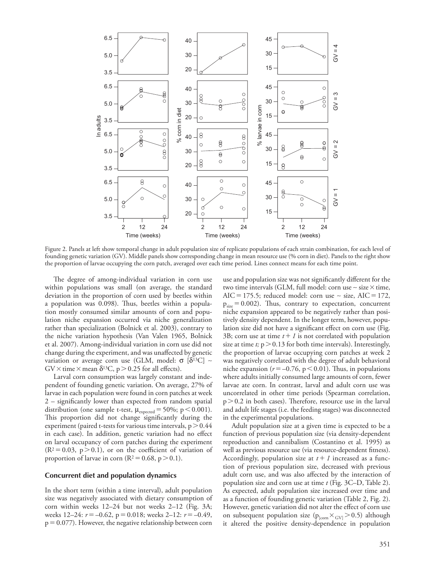

 Figure 2. Panels at left show temporal change in adult population size of replicate populations of each strain combination, for each level of founding genetic variation (GV). Middle panels show corresponding change in mean resource use (% corn in diet). Panels to the right show the proportion of larvae occupying the corn patch, averaged over each time period. Lines connect means for each time point.

The degree of among-individual variation in corn use within populations was small (on average, the standard deviation in the proportion of corn used by beetles within a population was 0.098). Thus, beetles within a population mostly consumed similar amounts of corn and population niche expansion occurred via niche generalization rather than specialization (Bolnick et al. 2003), contrary to the niche variation hypothesis (Van Valen 1965, Bolnick et al. 2007). Among-individual variation in corn use did not change during the experiment, and was unaffected by genetic variation or average corn use (GLM, model:  $\sigma$  [δ<sup>13</sup>C] ~  $\text{GV} \times \text{time} \times \text{mean } \delta^{13} \text{C}, p > 0.25 \text{ for all effects}.$ 

 Larval corn consumption was largely constant and independent of founding genetic variation. On average, 27% of larvae in each population were found in corn patches at week  $2$  – significantly lower than expected from random spatial distribution (one sample t-test,  $\mu_{\text{expected}} = 50\%; p < 0.001$ ). This proportion did not change significantly during the experiment (paired t-tests for various time intervals,  $p > 0.44$ in each case). In addition, genetic variation had no effect on larval occupancy of corn patches during the experiment  $(R<sup>2</sup>=0.03, p>0.1)$ , or on the coefficient of variation of proportion of larvae in corn ( $R^2 = 0.68$ ,  $p > 0.1$ ).

#### **Concurrent diet and population dynamics**

 In the short term (within a time interval), adult population size was negatively associated with dietary consumption of corn within weeks  $12-24$  but not weeks  $2-12$  (Fig. 3A; weeks 12–24:  $r = -0.62$ ,  $p = 0.018$ ; weeks 2–12:  $r = -0.49$ ,  $p = 0.077$ ). However, the negative relationship between corn

use and population size was not significantly different for the two time intervals (GLM, full model: corn use ~ size × time, AIC = 175.5; reduced model: corn use  $\sim$  size, AIC = 172,  $p_{size} = 0.002$ ). Thus, contrary to expectation, concurrent niche expansion appeared to be negatively rather than positively density dependent. In the longer term, however, population size did not have a significant effect on corn use (Fig. 3B; corn use at time  $t + 1$  is not correlated with population size at time  $t$ ;  $p > 0.13$  for both time intervals). Interestingly, the proportion of larvae occupying corn patches at week 2 was negatively correlated with the degree of adult behavioral niche expansion ( $r = -0.76$ ,  $p < 0.01$ ). Thus, in populations where adults initially consumed large amounts of corn, fewer larvae ate corn. In contrast, larval and adult corn use was uncorrelated in other time periods (Spearman correlation,  $p > 0.2$  in both cases). Therefore, resource use in the larval and adult life stages (i.e. the feeding stages) was disconnected in the experimental populations.

 Adult population size at a given time is expected to be a function of previous population size (via density-dependent reproduction and cannibalism (Costantino et al. 1995) as well as previous resource use (via resource-dependent fitness). Accordingly, population size at  $t + 1$  increased as a function of previous population size, decreased with previous adult corn use, and was also affected by the interaction of population size and corn use at time *t* (Fig. 3C–D, Table 2). As expected, adult population size increased over time and as a function of founding genetic variation (Table 2, Fig. 2). However, genetic variation did not alter the effect of corn use on subsequent population size ( $p_{\text{form}} \times_{\text{GVI}} > 0.5$ ) although it altered the positive density-dependence in population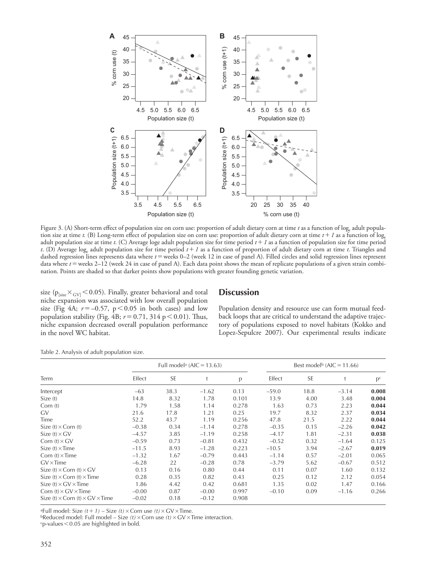

Figure 3. (A) Short-term effect of population size on corn use: proportion of adult dietary corn at time *t* as a function of log adult population size at time *t*. (B) Long-term effect of population size on corn use: proportion of adult dietary corn at time  $t + 1$  as a function of log. adult population size at time *t.* (C) Average loge adult population size for time period *t 1* as a function of population size for time period *t*. (D) Average log<sub>e</sub> adult population size for time period  $t + I$  as a function of proportion of adult dietary corn at time *t*. Triangles and dashed regression lines represents data where  $t =$  weeks 0–2 (week 12 in case of panel A). Filled circles and solid regression lines represent data where *t* = weeks 2–12 (week 24 in case of panel A). Each data point shows the mean of replicate populations of a given strain combination. Points are shaded so that darker points show populations with greater founding genetic variation.

size ( $p_{\text{Isize}} \times_{\text{GV}}$  < 0.05). Finally, greater behavioral and total niche expansion was associated with low overall population size (Fig  $4A$ ;  $r = -0.57$ ,  $p < 0.05$  in both cases) and low population stability (Fig.  $4B$ ;  $r = 0.71$ ,  $314 p < 0.01$ ). Thus, niche expansion decreased overall population performance in the novel WC habitat.

## **Discussion**

 Population density and resource use can form mutual feedback loops that are critical to understand the adaptive trajectory of populations exposed to novel habitats (Kokko and Lopez-Sepulcre 2007). Our experimental results indicate

|                                                      | Full model <sup>a</sup> (AIC = $13.63$ ) |           |         |       | Best model <sup>b</sup> (AIC = 11.66) |           |         |         |
|------------------------------------------------------|------------------------------------------|-----------|---------|-------|---------------------------------------|-----------|---------|---------|
| Term                                                 | Effect                                   | <b>SE</b> |         | p     | Effect                                | <b>SE</b> |         | $p^{c}$ |
| Intercept                                            | $-63$                                    | 38.3      | $-1.62$ | 0.13  | $-59.0$                               | 18.8      | $-3.14$ | 0.008   |
| Size(t)                                              | 14.8                                     | 8.32      | 1.78    | 0.101 | 13.9                                  | 4.00      | 3.48    | 0.004   |
| Corn $(t)$                                           | 1.79                                     | 1.58      | 1.14    | 0.278 | 1.63                                  | 0.73      | 2.23    | 0.044   |
| GV                                                   | 21.6                                     | 17.8      | 1.21    | 0.25  | 19.7                                  | 8.32      | 2.37    | 0.034   |
| Time                                                 | 52.2                                     | 43.7      | 1.19    | 0.256 | 47.8                                  | 21.5      | 2.22    | 0.044   |
| Size $(t) \times$ Corn $(t)$                         | $-0.38$                                  | 0.34      | $-1.14$ | 0.278 | $-0.35$                               | 0.15      | $-2.26$ | 0.042   |
| Size $(t) \times GV$                                 | $-4.57$                                  | 3.85      | $-1.19$ | 0.258 | $-4.17$                               | 1.81      | $-2.31$ | 0.038   |
| Corn $(t) \times GV$                                 | $-0.59$                                  | 0.73      | $-0.81$ | 0.432 | $-0.52$                               | 0.32      | $-1.64$ | 0.125   |
| Size $(t) \times$ Time                               | $-11.5$                                  | 8.93      | $-1.28$ | 0.223 | $-10.5$                               | 3.94      | $-2.67$ | 0.019   |
| Corn $(t) \times$ Time                               | $-1.32$                                  | 1.67      | $-0.79$ | 0.443 | $-1.14$                               | 0.57      | $-2.01$ | 0.065   |
| $GV \times Time$                                     | $-6.28$                                  | 22        | $-0.28$ | 0.78  | $-3.79$                               | 5.62      | $-0.67$ | 0.512   |
| Size $(t) \times$ Corn $(t) \times$ GV               | 0.13                                     | 0.16      | 0.80    | 0.44  | 0.11                                  | 0.07      | 1.60    | 0.132   |
| Size $(t) \times$ Corn $(t) \times$ Time             | 0.28                                     | 0.35      | 0.82    | 0.43  | 0.25                                  | 0.12      | 2.12    | 0.054   |
| Size $(t) \times$ GV $\times$ Time                   | 1.86                                     | 4.42      | 0.42    | 0.681 | 1.35                                  | 0.02      | 1.47    | 0.166   |
| Corn $(t) \times$ GV $\times$ Time                   | $-0.00$                                  | 0.87      | $-0.00$ | 0.997 | $-0.10$                               | 0.09      | $-1.16$ | 0.266   |
| Size (t) $\times$ Corn (t) $\times$ GV $\times$ Time | $-0.02$                                  | 0.18      | $-0.12$ | 0.908 |                                       |           |         |         |

Table 2. Analysis of adult population size.

aFull model: Size *(t 1)* <sup>∼</sup> Size *(t)* Corn use *(t)* GV Time. bReduced model: Full model –Size *(t)* Corn use *(t)* GV Time interaction. cp-values 0.05 are highlighted in bold.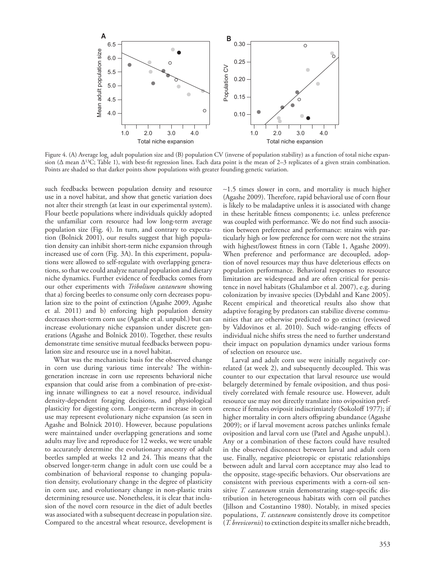

Figure 4. (A) Average  $log_a$  adult population size and (B) population CV (inverse of population stability) as a function of total niche expansion ( $\Delta$  mean  $\Delta^{13}$ C; Table 1), with best-fit regression lines. Each data point is the mean of 2–3 replicates of a given strain combination. Points are shaded so that darker points show populations with greater founding genetic variation.

such feedbacks between population density and resource use in a novel habitat, and show that genetic variation does not alter their strength (at least in our experimental system). Flour beetle populations where individuals quickly adopted the unfamiliar corn resource had low long-term average population size (Fig. 4). In turn, and contrary to expectation (Bolnick 2001), our results suggest that high population density can inhibit short-term niche expansion through increased use of corn (Fig. 3A). In this experiment, populations were allowed to self-regulate with overlapping generations, so that we could analyze natural population and dietary niche dynamics. Further evidence of feedbacks comes from our other experiments with *Tribolium castaneum* showing that a) forcing beetles to consume only corn decreases population size to the point of extinction (Agashe 2009, Agashe et al. 2011) and b) enforcing high population density decreases short-term corn use (Agashe et al. unpubl.) but can increase evolutionary niche expansion under discrete generations (Agashe and Bolnick 2010). Together, these results demonstrate time sensitive mutual feedbacks between population size and resource use in a novel habitat.

 What was the mechanistic basis for the observed change in corn use during various time intervals? The withingeneration increase in corn use represents behavioral niche expansion that could arise from a combination of pre-existing innate willingness to eat a novel resource, individual density-dependent foraging decisions, and physiological plasticity for digesting corn. Longer-term increase in corn use may represent evolutionary niche expansion (as seen in Agashe and Bolnick 2010). However, because populations were maintained under overlapping generations and some adults may live and reproduce for 12 weeks, we were unable to accurately determine the evolutionary ancestry of adult beetles sampled at weeks 12 and 24. This means that the observed longer-term change in adult corn use could be a combination of behavioral response to changing population density, evolutionary change in the degree of plasticity in corn use, and evolutionary change in non-plastic traits determining resource use. Nonetheless, it is clear that inclusion of the novel corn resource in the diet of adult beetles was associated with a subsequent decrease in population size. Compared to the ancestral wheat resource, development is ∼ 1.5 times slower in corn, and mortality is much higher (Agashe 2009). Therefore, rapid behavioral use of corn flour is likely to be maladaptive unless it is associated with change in these heritable fitness components; i.e. unless preference was coupled with performance. We do not find such association between preference and performance: strains with particularly high or low preference for corn were not the strains with highest/lowest fitness in corn (Table 1, Agashe 2009). When preference and performance are decoupled, adoption of novel resources may thus have deleterious effects on population performance. Behavioral responses to resource limitation are widespread and are often critical for persistence in novel habitats (Ghalambor et al. 2007), e.g. during colonization by invasive species (Dybdahl and Kane 2005). Recent empirical and theoretical results also show that adaptive foraging by predators can stabilize diverse communities that are otherwise predicted to go extinct (reviewed by Valdovinos et al. 2010). Such wide-ranging effects of individual niche shifts stress the need to further understand their impact on population dynamics under various forms of selection on resource use.

 Larval and adult corn use were initially negatively correlated (at week 2), and subsequently decoupled. This was counter to our expectation that larval resource use would belargely determined by female oviposition, and thus positively correlated with female resource use. However, adult resource use may not directly translate into oviposition preference if females oviposit indiscrimiately (Sokoloff 1977); if higher mortality in corn alters offspring abundance (Agashe 2009); or if larval movement across patches unlinks female oviposition and larval corn use (Patel and Agashe unpubl.). Any or a combination of these factors could have resulted in the observed disconnect between larval and adult corn use. Finally, negative pleiotropic or epistatic relationships between adult and larval corn acceptance may also lead to the opposite, stage-specific behaviors. Our observations are consistent with previous experiments with a corn-oil sensitive *T. castaneum* strain demonstrating stage-specific distribution in heterogeneous habitats with corn oil patches (Jillson and Costantino 1980). Notably, in mixed species populations, *T. castaneum* consistently drove its competitor ( *T. brevicornis* ) to extinction despite its smaller niche breadth,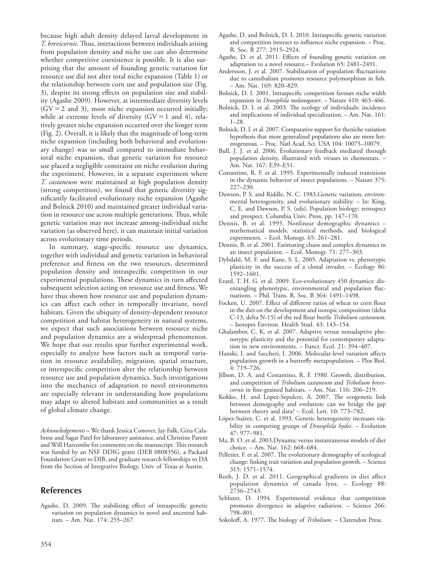because high adult density delayed larval development in *T. brevicornis*. Thus, interactions between individuals arising from population density and niche use can also determine whether competitive coexistence is possible. It is also surprising that the amount of founding genetic variation for resource use did not alter total niche expansion (Table 1) or the relationship between corn use and population size (Fig. 3), despite its strong effects on population size and stability (Agashe 2009). However, at intermediate diversity levels  $(GV = 2$  and 3), most niche expansion occurred initially; while at extreme levels of diversity  $(GV = 1 \text{ and } 4)$ , relatively greater niche expansion occurred over the longer term (Fig. 2). Overall, it is likely that the magnitude of long-term niche expansion (including both behavioral and evolutionary change) was so small compared to immediate behavioral niche expansion, that genetic variation for resource use placed a negligible constraint on niche evolution during the experiment. However, in a separate experiment where *T. castaneum* were maintained at high population density (strong competition), we found that genetic diversity significantly facilitated evolutionary niche expansion (Agashe and Bolnick 2010) and maintained greater individual variation in resource use across multiple generations. Thus, while genetic variation may not increase among-individual niche variation (as observed here), it can maintain initial variation across evolutionary time periods.

In summary, stage-specific resource use dynamics, together with individual and genetic variation in behavioral preference and fitness on the two resources, determined population density and intraspecific competition in our experimental populations. These dynamics in turn affected subsequent selection acting on resource use and fitness. We have thus shown how resource use and population dynamics can affect each other in temporally invariant, novel habitats. Given the ubiquity of density-dependent resource competition and habitat heterogeneity in natural systems, we expect that such associations between resource niche and population dynamics are a widespread phenomenon. We hope that our results spur further experimental work, especially to analyze how factors such as temporal variation in resource availability, migration, spatial structure, or interspecific competition alter the relationship between resource use and population dynamics. Such investigations into the mechanics of adaptation to novel environments are especially relevant in understanding how populations may adapt to altered habitats and communities as a result of global climate change.

 *Acknowledgements* **–** We thank Jessica Conover, Jay Falk, Gina Calabrese and Sagar Patel for laboratory assistance, and Christine Parent and Will Harcombe for comments on the manuscript. This research was funded by an NSF DDIG grant (DEB 0808356), a Packard Foundation Grant to DIB, and graduate research fellowships to DA from the Section of Integrative Biology, Univ. of Texas at Austin.

## **References**

Agashe, D. 2009. The stabilizing effect of intraspecific genetic variation on population dynamics in novel and ancestral habitats. – Am. Nat. 174: 255–267.

- Agashe, D. and Bolnick, D. I. 2010. Intraspecific genetic variation and competition interact to influence niche expansion. - Proc. R. Soc. B 277: 2915-2924.
- Agashe, D. et al. 2011. Effects of founding genetic variation on adaptation to a novel resource. – Evolution 65: 2481-2491.
- Andersson, J. et al. 2007. Stabilization of population fluctuations due to cannibalism promotes resource polymorphism in fish. – Am. Nat. 169: 820 – 829.
- Bolnick, D. I. 2001. Intraspecific competition favours niche width expansion in *Drosophila melanogaster*. - Nature 410: 463-466.
- Bolnick, D. I. et al. 2003. The ecology of individuals: incidence and implications of individual specialization. – Am. Nat. 161:  $1 - 28.$
- Bolnick, D. I. et al. 2007. Comparative support for theniche variation hypothesis that more generalized populations also are more heterogeneous. - Proc. Natl Acad. Sci. USA 104: 10075-10079.
- Bull, J. J. et al. 2006. Evolutionary feedback mediated through population density, illustrated with viruses in chemostats. – Am. Nat. 167: E39-E51.
- Costantino, R. F. et al. 1995. Experimentally induced transitions in the dynamic behavior of insect populations. – Nature 375:  $227 - 230$
- Dawson, P. S. and Riddle, N. C. 1983.Genetic variation, environmental heterogeneity, and evolutionary stability. – In: King, C. E. and Dawson, P. S. (eds), Population biology: retrospect and prospect. Columbia Univ. Press, pp. 147-170.
- Dennis, B. et al. 1995. Nonlinear demographic dynamics mathematical models, statistical methods, and biological experiments. – Ecol. Monogr. 65: 261–281.
- Dennis, B. et al. 2001. Estimating chaos and complex dynamics in an insect population.  $-$  Ecol. Monogr. 71: 277-303.
- Dybdahl, M. F. and Kane, S. L. 2005. Adaptation vs. phenotypic plasticity in the success of a clonal invader. – Ecology 86: 1592-1601
- Ezard, T. H. G. et al. 2009. Eco-evolutionary 450 dynamics: disentangling phenotypic, environmental and population fluctuations. - Phil. Trans. R. Soc. B 364: 1491-1498.
- Focken, U. 2007. Effect of different ratios of wheat to corn flour in the diet on the development and isotopic composition (delta C-13, delta N-15) of the red flour beetle *Tribolium castaneum*. – Isotopes Environ. Health Stud. 43: 143-154.
- Ghalambor, C. K. et al. 2007. Adaptive versus nonadaptive phenotypic plasticity and the potential for contemporary adaptation in new environments. – Funct. Ecol.  $21: 394-407$ .
- Hanski, I. and Saccheri, I. 2006. Molecular-level variation affects population growth in a butterfly metapopulation. - Plos Biol. 4: 719-726.
- Jillson, D. A. and Costantino, R. F. 1980. Growth, distribution, and competition of *Tribolium castaneum* and *Tribolium brevicornis* in fine-grained habitats. - Am. Nat. 116: 206-219.
- Kokko, H. and Lopez-Sepulcre, A. 2007. The ecogenetic link between demography and evolution: can we bridge the gap between theory and data? - Ecol. Lett. 10: 773-782.
- López-Suárez, C. et al. 1993. Genetic heterogeneity increases viability in competing groups of *Drosophila hydei* . – Evolution 47: 977 – 981.
- Ma, B. O. et al. 2003.Dynamic versus instantaneous models of diet choice. - Am. Nat. 162: 668-684.
- Pelletier, F. et al. 2007. The evolutionary demography of ecological change: linking trait variation and population growth. - Science 315: 1571-1574.
- Roth, J. D. et al. 2011. Geographical gradients in diet affect population dynamics of canada lynx. – Ecology 88: 2736–2743.
- Schluter, D. 1994. Experimental evidence that competition promotes divergence in adaptive radiation. – Science 266: 798 – 801.
- Sokoloff, A. 1977. The biology of *Tribolium*. Clarendon Press.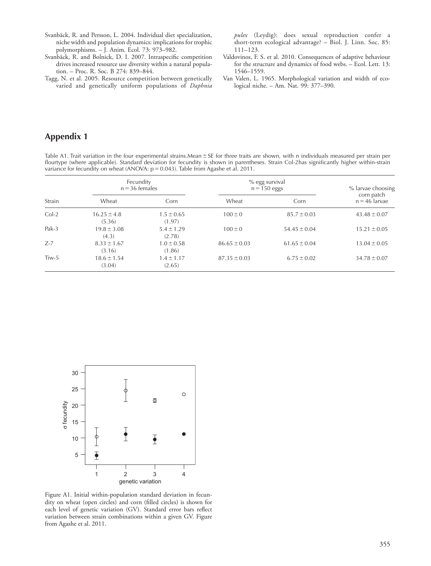- Svanbäck, R. and Persson, L. 2004. Individual diet specialization, niche width and population dynamics: implications for trophic polymorphisms. – J. Anim. Ecol. 73: 973–982.
- Svanbäck, R. and Bolnick, D. I. 2007. Intraspecific competition drives increased resource use diversity within a natural population. - Proc. R. Soc. B 274: 839-844.
- Tagg, N. et al. 2005. Resource competition between genetically varied and genetically uniform populations of *Daphnia*

*pulex* (Leydig): does sexual reproduction confer a short-term ecological advantage? – Biol. J. Linn. Soc. 85:  $111 - 123.$ 

- Valdovinos, F. S. et al. 2010. Consequences of adaptive behaviour for the structure and dynamics of food webs. – Ecol. Lett. 13: 1546-1559.
- Van Valen, L. 1965. Morphological variation and width of ecological niche. – Am. Nat. 99: 377–390.

# **Appendix 1**

Table A1. Trait variation in the four experimental strains. Mean  $\pm$  SE for three traits are shown, with n individuals measured per strain per flourtype (where applicable). Standard deviation for fecundity is shown in parentheses. Strain Col-2has significantly higher within-strain variance for fecundity on wheat (ANOVA:  $\rm p$  = 0.043). Table from Agashe et al. 2011.

| Strain  | Fecundity<br>$n = 36$ females |                          | % egg survival<br>$n = 150$ eggs | % larvae choosing |                               |
|---------|-------------------------------|--------------------------|----------------------------------|-------------------|-------------------------------|
|         | Wheat                         | Corn                     | Wheat                            | Corn              | corn patch<br>$n = 46$ larvae |
| $Col-2$ | $16.25 \pm 4.8$<br>(5.36)     | $1.5 \pm 0.65$<br>(1.97) | $100 \pm 0$                      | $85.7 \pm 0.03$   | $43.48 \pm 0.07$              |
| $Pak-3$ | $19.8 \pm 3.08$<br>(4.3)      | $5.4 \pm 1.29$<br>(2.78) | $100 \pm 0$                      | $54.45 \pm 0.04$  | $15.21 \pm 0.05$              |
| $Z-7$   | $8.33 \pm 1.67$<br>(3.16)     | $1.0 \pm 0.58$<br>(1.86) | $86.65 \pm 0.03$                 | $61.65 \pm 0.04$  | $13.04 \pm 0.05$              |
| $Tiw-5$ | $18.6 \pm 1.54$<br>(3.04)     | $1.4 \pm 1.17$<br>(2.65) | $87.35 \pm 0.03$                 | $6.75 \pm 0.02$   | $34.78 \pm 0.07$              |



 Figure A1. Initial within-population standard deviation in fecundity on wheat (open circles) and corn (filled circles) is shown for each level of genetic variation (GV). Standard error bars reflect variation between strain combinations within a given GV. Figure from Agashe et al. 2011.